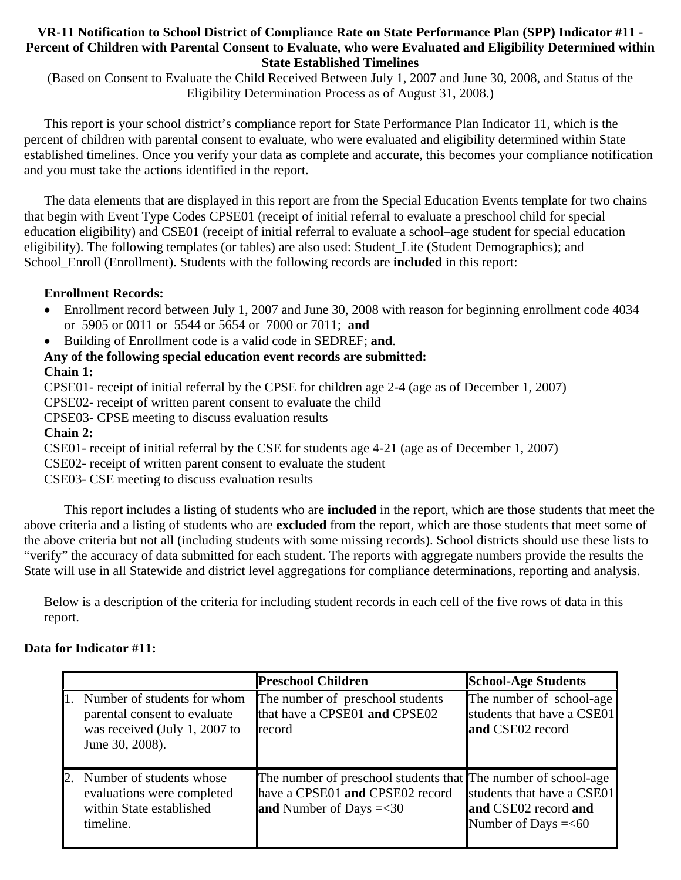#### **VR-11 Notification to School District of Compliance Rate on State Performance Plan (SPP) Indicator #11 - Percent of Children with Parental Consent to Evaluate, who were Evaluated and Eligibility Determined within State Established Timelines**

(Based on Consent to Evaluate the Child Received Between July 1, 2007 and June 30, 2008, and Status of the Eligibility Determination Process as of August 31, 2008.)

This report is your school district's compliance report for State Performance Plan Indicator 11, which is the percent of children with parental consent to evaluate, who were evaluated and eligibility determined within State established timelines. Once you verify your data as complete and accurate, this becomes your compliance notification and you must take the actions identified in the report.

The data elements that are displayed in this report are from the Special Education Events template for two chains that begin with Event Type Codes CPSE01 (receipt of initial referral to evaluate a preschool child for special education eligibility) and CSE01 (receipt of initial referral to evaluate a school–age student for special education eligibility). The following templates (or tables) are also used: Student\_Lite (Student Demographics); and School\_Enroll (Enrollment). Students with the following records are **included** in this report:

### **Enrollment Records:**

- Enrollment record between July 1, 2007 and June 30, 2008 with reason for beginning enrollment code 4034 or 5905 or 0011 or 5544 or 5654 or 7000 or 7011; **and**
- Building of Enrollment code is a valid code in SEDREF; **and**.

# **Any of the following special education event records are submitted:**

## **Chain 1:**

CPSE01- receipt of initial referral by the CPSE for children age 2-4 (age as of December 1, 2007)

CPSE02- receipt of written parent consent to evaluate the child

CPSE03- CPSE meeting to discuss evaluation results

## **Chain 2:**

CSE01- receipt of initial referral by the CSE for students age 4-21 (age as of December 1, 2007)

CSE02- receipt of written parent consent to evaluate the student

CSE03- CSE meeting to discuss evaluation results

 This report includes a listing of students who are **included** in the report, which are those students that meet the above criteria and a listing of students who are **excluded** from the report, which are those students that meet some of the above criteria but not all (including students with some missing records). School districts should use these lists to "verify" the accuracy of data submitted for each student. The reports with aggregate numbers provide the results the State will use in all Statewide and district level aggregations for compliance determinations, reporting and analysis.

Below is a description of the criteria for including student records in each cell of the five rows of data in this report.

## **Data for Indicator #11:**

|    |                                                                                                                 | <b>Preschool Children</b>                                                                                                       | <b>School-Age Students</b>                                                  |
|----|-----------------------------------------------------------------------------------------------------------------|---------------------------------------------------------------------------------------------------------------------------------|-----------------------------------------------------------------------------|
|    | Number of students for whom<br>parental consent to evaluate<br>was received (July 1, 2007 to<br>June 30, 2008). | The number of preschool students<br>that have a CPSE01 and CPSE02<br>record                                                     | The number of school-age<br>students that have a CSE01<br>and CSE02 record  |
| 2. | Number of students whose<br>evaluations were completed<br>within State established<br>timeline.                 | The number of preschool students that The number of school-age<br>have a CPSE01 and CPSE02 record<br>and Number of Days $=<$ 30 | students that have a CSE01<br>and CSE02 record and<br>Number of Days $=<60$ |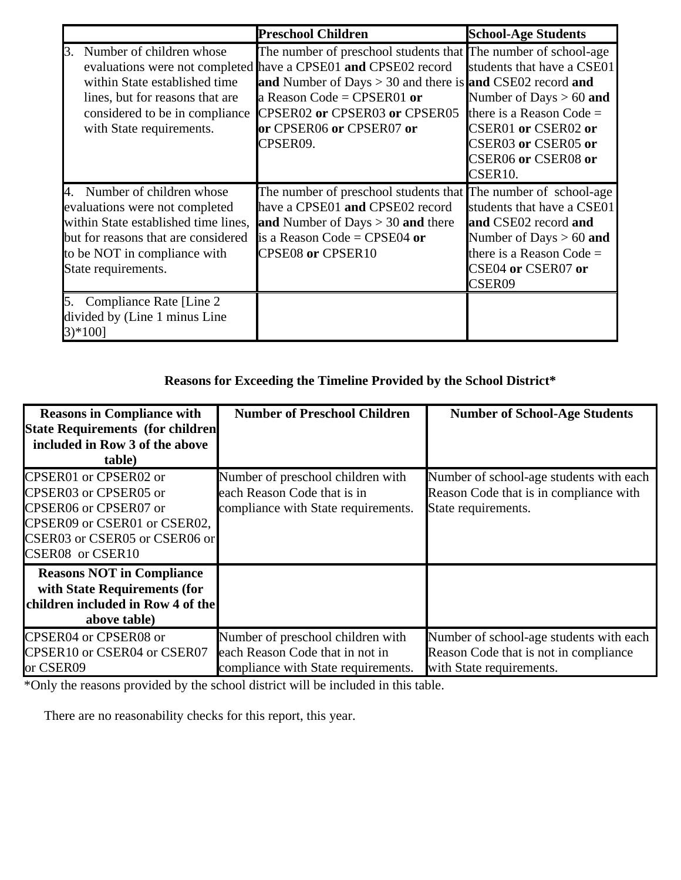|    |                                                                                                                                                                                                     | <b>Preschool Children</b>                                                                                                                                                                                                                                                                              | <b>School-Age Students</b>                                                                                                                                                         |
|----|-----------------------------------------------------------------------------------------------------------------------------------------------------------------------------------------------------|--------------------------------------------------------------------------------------------------------------------------------------------------------------------------------------------------------------------------------------------------------------------------------------------------------|------------------------------------------------------------------------------------------------------------------------------------------------------------------------------------|
|    | 3. Number of children whose<br>within State established time<br>lines, but for reasons that are<br>considered to be in compliance<br>with State requirements.                                       | The number of preschool students that The number of school-age<br>evaluations were not completed have a CPSE01 and CPSE02 record<br>and Number of Days $> 30$ and there is and CSE02 record and<br>a Reason Code = CPSER01 or<br>CPSER02 or CPSER03 or CPSER05<br>or CPSER06 or CPSER07 or<br>CPSER09. | students that have a CSE01<br>Number of Days $> 60$ and<br>there is a Reason Code $=$<br>CSER01 or CSER02 or<br>CSER03 or CSER05 or<br>CSER06 or CSER08 or<br>CSER <sub>10</sub> . |
|    | 4. Number of children whose<br>evaluations were not completed<br>within State established time lines,<br>but for reasons that are considered<br>to be NOT in compliance with<br>State requirements. | The number of preschool students that The number of school-age<br>have a CPSE01 and CPSE02 record<br>and Number of Days $> 30$ and there<br>is a Reason Code = CPSE04 or<br>CPSE08 or CPSER10                                                                                                          | students that have a CSE01<br>and CSE02 record and<br>Number of Days $> 60$ and<br>there is a Reason Code $=$<br>CSE04 or CSER07 or<br>CSER09                                      |
| 5. | Compliance Rate [Line 2]<br>divided by (Line 1 minus Line<br>$3)*100$ ]                                                                                                                             |                                                                                                                                                                                                                                                                                                        |                                                                                                                                                                                    |

# **Reasons for Exceeding the Timeline Provided by the School District\***

| <b>Reasons in Compliance with</b><br><b>State Requirements (for children</b><br>included in Row 3 of the above<br>table)                                     | <b>Number of Preschool Children</b>                                                                         | <b>Number of School-Age Students</b>                                                                         |
|--------------------------------------------------------------------------------------------------------------------------------------------------------------|-------------------------------------------------------------------------------------------------------------|--------------------------------------------------------------------------------------------------------------|
| CPSER01 or CPSER02 or<br>CPSER03 or CPSER05 or<br>CPSER06 or CPSER07 or<br>CPSER09 or CSER01 or CSER02,<br>CSER03 or CSER05 or CSER06 or<br>CSER08 or CSER10 | Number of preschool children with<br>each Reason Code that is in<br>compliance with State requirements.     | Number of school-age students with each<br>Reason Code that is in compliance with<br>State requirements.     |
| <b>Reasons NOT in Compliance</b><br>with State Requirements (for<br>children included in Row 4 of the<br>above table)                                        |                                                                                                             |                                                                                                              |
| CPSER04 or CPSER08 or<br>CPSER10 or CSER04 or CSER07<br>or CSER09                                                                                            | Number of preschool children with<br>each Reason Code that in not in<br>compliance with State requirements. | Number of school-age students with each<br>Reason Code that is not in compliance<br>with State requirements. |

\*Only the reasons provided by the school district will be included in this table.

There are no reasonability checks for this report, this year.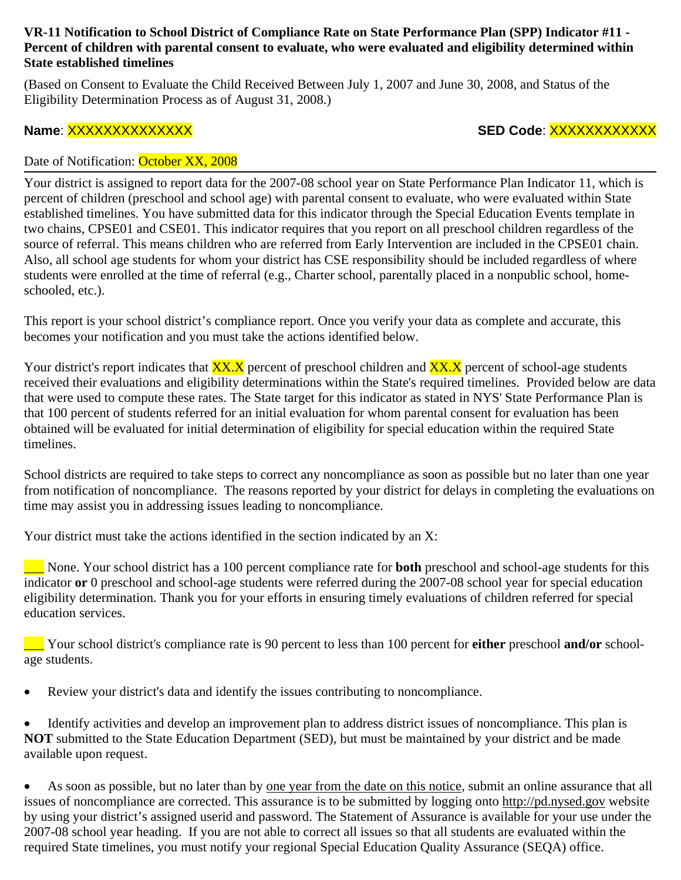#### **VR-11 Notification to School District of Compliance Rate on State Performance Plan (SPP) Indicator #11 - Percent of children with parental consent to evaluate, who were evaluated and eligibility determined within State established timelines**

(Based on Consent to Evaluate the Child Received Between July 1, 2007 and June 30, 2008, and Status of the Eligibility Determination Process as of August 31, 2008.)

# **Name**: XXXXXXXXXXXXXX **SED Code**: XXXXXXXXXXXX

### Date of Notification: October XX, 2008

Your district is assigned to report data for the 2007-08 school year on State Performance Plan Indicator 11, which is percent of children (preschool and school age) with parental consent to evaluate, who were evaluated within State established timelines. You have submitted data for this indicator through the Special Education Events template in two chains, CPSE01 and CSE01. This indicator requires that you report on all preschool children regardless of the source of referral. This means children who are referred from Early Intervention are included in the CPSE01 chain. Also, all school age students for whom your district has CSE responsibility should be included regardless of where students were enrolled at the time of referral (e.g., Charter school, parentally placed in a nonpublic school, homeschooled, etc.).

This report is your school district's compliance report. Once you verify your data as complete and accurate, this becomes your notification and you must take the actions identified below.

Your district's report indicates that  $\overline{XX}$ , percent of preschool children and  $\overline{XX}$ , percent of school-age students received their evaluations and eligibility determinations within the State's required timelines. Provided below are data that were used to compute these rates. The State target for this indicator as stated in NYS' State Performance Plan is that 100 percent of students referred for an initial evaluation for whom parental consent for evaluation has been obtained will be evaluated for initial determination of eligibility for special education within the required State timelines.

School districts are required to take steps to correct any noncompliance as soon as possible but no later than one year from notification of noncompliance. The reasons reported by your district for delays in completing the evaluations on time may assist you in addressing issues leading to noncompliance.

Your district must take the actions identified in the section indicated by an X:

None. Your school district has a 100 percent compliance rate for **both** preschool and school-age students for this indicator **or** 0 preschool and school-age students were referred during the 2007-08 school year for special education eligibility determination. Thank you for your efforts in ensuring timely evaluations of children referred for special education services.

\_\_\_ Your school district's compliance rate is 90 percent to less than 100 percent for **either** preschool **and/or** schoolage students.

• Review your district's data and identify the issues contributing to noncompliance.

• Identify activities and develop an improvement plan to address district issues of noncompliance. This plan is **NOT** submitted to the State Education Department (SED), but must be maintained by your district and be made available upon request.

As soon as possible, but no later than by one year from the date on this notice, submit an online assurance that all issues of noncompliance are corrected. This assurance is to be submitted by logging onto http://pd.nysed.gov website by using your district's assigned userid and password. The Statement of Assurance is available for your use under the 2007-08 school year heading. If you are not able to correct all issues so that all students are evaluated within the required State timelines, you must notify your regional Special Education Quality Assurance (SEQA) office.